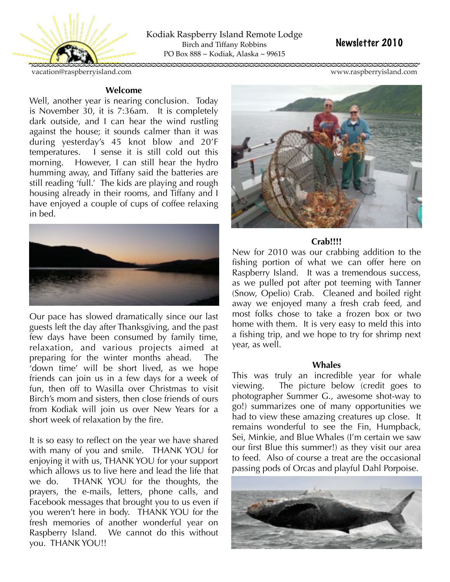

Kodiak Raspberry Island Remote Lodge Birch and Tiffany Robbins PO Box 888 ~ Kodiak, Alaska ~ 99615

# Newsletter 2010

[vacation@raspberryisland.com](mailto:Vacation@raspberryisland.com) [www.raspberryisland.com](http://www.raspberryisland.com)

# **Welcome**

Well, another year is nearing conclusion. Today is November 30, it is 7:36am. It is completely dark outside, and I can hear the wind rustling against the house; it sounds calmer than it was during yesterday's 45 knot blow and 20'F temperatures. I sense it is still cold out this morning. However, I can still hear the hydro humming away, and Tiffany said the batteries are still reading 'full.' The kids are playing and rough housing already in their rooms, and Tiffany and I have enjoyed a couple of cups of coffee relaxing in bed.



Our pace has slowed dramatically since our last guests left the day after Thanksgiving, and the past few days have been consumed by family time, relaxation, and various projects aimed at preparing for the winter months ahead. The 'down time' will be short lived, as we hope friends can join us in a few days for a week of fun, then off to Wasilla over Christmas to visit Birch's mom and sisters, then close friends of ours from Kodiak will join us over New Years for a short week of relaxation by the fire.

It is so easy to reflect on the year we have shared with many of you and smile. THANK YOU for enjoying it with us, THANK YOU for your support which allows us to live here and lead the life that we do. THANK YOU for the thoughts, the prayers, the e-mails, letters, phone calls, and Facebook messages that brought you to us even if you weren't here in body. THANK YOU for the fresh memories of another wonderful year on Raspberry Island. We cannot do this without you. THANK YOU!!



# **Crab!!!!**

New for 2010 was our crabbing addition to the fishing portion of what we can offer here on Raspberry Island. It was a tremendous success, as we pulled pot after pot teeming with Tanner (Snow, Opelio) Crab. Cleaned and boiled right away we enjoyed many a fresh crab feed, and most folks chose to take a frozen box or two home with them. It is very easy to meld this into a fishing trip, and we hope to try for shrimp next year, as well.

# **Whales**

This was truly an incredible year for whale viewing. The picture below (credit goes to photographer Summer G., awesome shot-way to go!) summarizes one of many opportunities we had to view these amazing creatures up close. It remains wonderful to see the Fin, Humpback, Sei, Minkie, and Blue Whales (I'm certain we saw our first Blue this summer!) as they visit our area to feed. Also of course a treat are the occasional passing pods of Orcas and playful Dahl Porpoise.

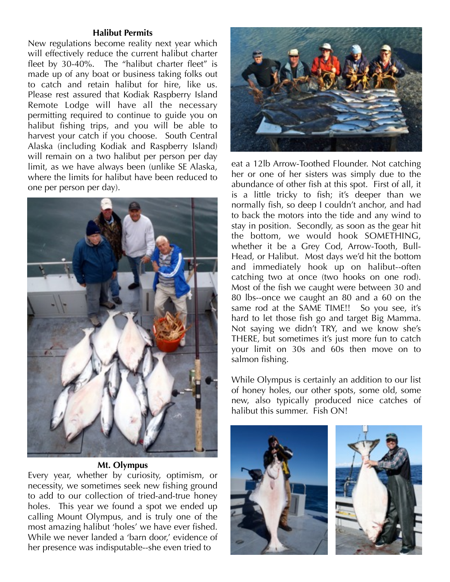## **Halibut Permits**

New regulations become reality next year which will effectively reduce the current halibut charter fleet by 30-40%. The "halibut charter fleet" is made up of any boat or business taking folks out to catch and retain halibut for hire, like us. Please rest assured that Kodiak Raspberry Island Remote Lodge will have all the necessary permitting required to continue to guide you on halibut fishing trips, and you will be able to harvest your catch if you choose. South Central Alaska (including Kodiak and Raspberry Island) will remain on a two halibut per person per day limit, as we have always been (unlike SE Alaska, where the limits for halibut have been reduced to one per person per day).



# **Mt. Olympus**

Every year, whether by curiosity, optimism, or necessity, we sometimes seek new fishing ground to add to our collection of tried-and-true honey holes. This year we found a spot we ended up calling Mount Olympus, and is truly one of the most amazing halibut 'holes' we have ever fished. While we never landed a 'barn door,' evidence of her presence was indisputable--she even tried to



eat a 12lb Arrow-Toothed Flounder. Not catching her or one of her sisters was simply due to the abundance of other fish at this spot. First of all, it is a little tricky to fish; it's deeper than we normally fish, so deep I couldn't anchor, and had to back the motors into the tide and any wind to stay in position. Secondly, as soon as the gear hit the bottom, we would hook SOMETHING, whether it be a Grey Cod, Arrow-Tooth, Bull-Head, or Halibut. Most days we'd hit the bottom and immediately hook up on halibut--often catching two at once (two hooks on one rod). Most of the fish we caught were between 30 and 80 lbs--once we caught an 80 and a 60 on the same rod at the SAME TIME!! So you see, it's hard to let those fish go and target Big Mamma. Not saying we didn't TRY, and we know she's THERE, but sometimes it's just more fun to catch your limit on 30s and 60s then move on to salmon fishing.

While Olympus is certainly an addition to our list of honey holes, our other spots, some old, some new, also typically produced nice catches of halibut this summer. Fish ON!



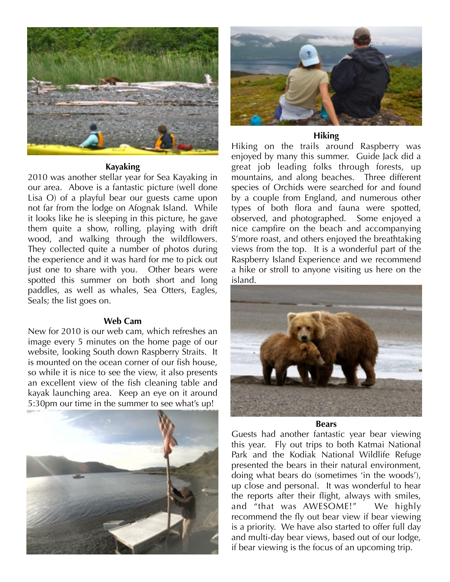

## **Kayaking**

2010 was another stellar year for Sea Kayaking in our area. Above is a fantastic picture (well done Lisa O) of a playful bear our guests came upon not far from the lodge on Afognak Island. While it looks like he is sleeping in this picture, he gave them quite a show, rolling, playing with drift wood, and walking through the wildflowers. They collected quite a number of photos during the experience and it was hard for me to pick out just one to share with you. Other bears were spotted this summer on both short and long paddles, as well as whales, Sea Otters, Eagles, Seals; the list goes on.

#### **Web Cam**

New for 2010 is our web cam, which refreshes an image every 5 minutes on the home page of our website, looking South down Raspberry Straits. It is mounted on the ocean corner of our fish house, so while it is nice to see the view, it also presents an excellent view of the fish cleaning table and kayak launching area. Keep an eye on it around 5:30pm our time in the summer to see what's up!





# **Hiking**

Hiking on the trails around Raspberry was enjoyed by many this summer. Guide Jack did a great job leading folks through forests, up mountains, and along beaches. Three different species of Orchids were searched for and found by a couple from England, and numerous other types of both flora and fauna were spotted, observed, and photographed. Some enjoyed a nice campfire on the beach and accompanying S'more roast, and others enjoyed the breathtaking views from the top. It is a wonderful part of the Raspberry Island Experience and we recommend a hike or stroll to anyone visiting us here on the island.



#### **Bears**

Guests had another fantastic year bear viewing this year. Fly out trips to both Katmai National Park and the Kodiak National Wildlife Refuge presented the bears in their natural environment, doing what bears do (sometimes 'in the woods'), up close and personal. It was wonderful to hear the reports after their flight, always with smiles, and "that was AWESOME!" We highly recommend the fly out bear view if bear viewing is a priority. We have also started to offer full day and multi-day bear views, based out of our lodge, if bear viewing is the focus of an upcoming trip.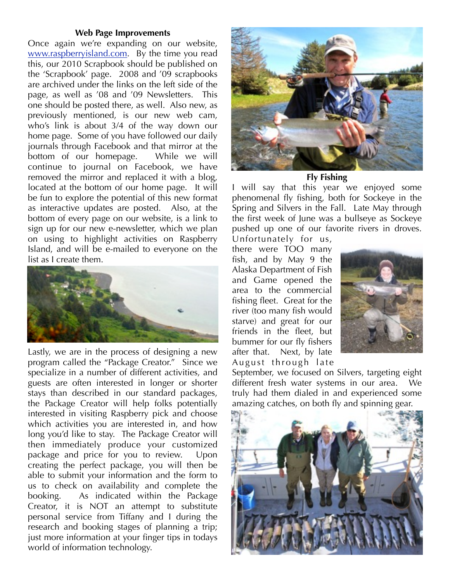#### **Web Page Improvements**

Once again we're expanding on our website, [www.raspberryisland.com.](http://www.raspberryisland.com) By the time you read this, our 2010 Scrapbook should be published on the 'Scrapbook' page. 2008 and '09 scrapbooks are archived under the links on the left side of the page, as well as '08 and '09 Newsletters. This one should be posted there, as well. Also new, as previously mentioned, is our new web cam, who's link is about 3/4 of the way down our home page. Some of you have followed our daily journals through Facebook and that mirror at the bottom of our homepage. While we will continue to journal on Facebook, we have removed the mirror and replaced it with a blog, located at the bottom of our home page. It will be fun to explore the potential of this new format as interactive updates are posted. Also, at the bottom of every page on our website, is a link to sign up for our new e-newsletter, which we plan on using to highlight activities on Raspberry Island, and will be e-mailed to everyone on the list as I create them.



Lastly, we are in the process of designing a new program called the "Package Creator." Since we specialize in a number of different activities, and guests are often interested in longer or shorter stays than described in our standard packages, the Package Creator will help folks potentially interested in visiting Raspberry pick and choose which activities you are interested in, and how long you'd like to stay. The Package Creator will then immediately produce your customized package and price for you to review. Upon creating the perfect package, you will then be able to submit your information and the form to us to check on availability and complete the booking. As indicated within the Package Creator, it is NOT an attempt to substitute personal service from Tiffany and I during the research and booking stages of planning a trip; just more information at your finger tips in todays world of information technology.



**Fly Fishing**

I will say that this year we enjoyed some phenomenal fly fishing, both for Sockeye in the Spring and Silvers in the Fall. Late May through the first week of June was a bullseye as Sockeye pushed up one of our favorite rivers in droves.

Unfortunately for us, there were TOO many fish, and by May 9 the Alaska Department of Fish and Game opened the area to the commercial fishing fleet. Great for the river (too many fish would starve) and great for our friends in the fleet, but bummer for our fly fishers after that. Next, by late August through late



September, we focused on Silvers, targeting eight different fresh water systems in our area. We truly had them dialed in and experienced some amazing catches, on both fly and spinning gear.

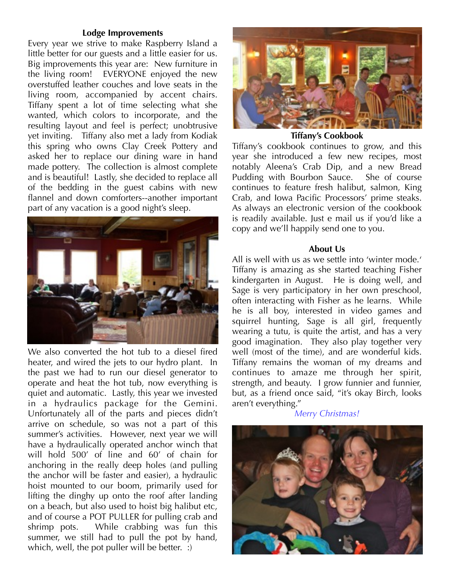## **Lodge Improvements**

Every year we strive to make Raspberry Island a little better for our guests and a little easier for us. Big improvements this year are: New furniture in the living room! EVERYONE enjoyed the new overstuffed leather couches and love seats in the living room, accompanied by accent chairs. Tiffany spent a lot of time selecting what she wanted, which colors to incorporate, and the resulting layout and feel is perfect; unobtrusive yet inviting. Tiffany also met a lady from Kodiak this spring who owns Clay Creek Pottery and asked her to replace our dining ware in hand made pottery. The collection is almost complete and is beautiful! Lastly, she decided to replace all of the bedding in the guest cabins with new flannel and down comforters--another important part of any vacation is a good night's sleep.



We also converted the hot tub to a diesel fired heater, and wired the jets to our hydro plant. In the past we had to run our diesel generator to operate and heat the hot tub, now everything is quiet and automatic. Lastly, this year we invested in a hydraulics package for the Gemini. Unfortunately all of the parts and pieces didn't arrive on schedule, so was not a part of this summer's activities. However, next year we will have a hydraulically operated anchor winch that will hold 500' of line and 60' of chain for anchoring in the really deep holes (and pulling the anchor will be faster and easier), a hydraulic hoist mounted to our boom, primarily used for lifting the dinghy up onto the roof after landing on a beach, but also used to hoist big halibut etc, and of course a POT PULLER for pulling crab and shrimp pots. While crabbing was fun this summer, we still had to pull the pot by hand, which, well, the pot puller will be better. :



**Tiffany's Cookbook**

Tiffany's cookbook continues to grow, and this year she introduced a few new recipes, most notably Aleena's Crab Dip, and a new Bread Pudding with Bourbon Sauce. She of course continues to feature fresh halibut, salmon, King Crab, and Iowa Pacific Processors' prime steaks. As always an electronic version of the cookbook is readily available. Just e mail us if you'd like a copy and we'll happily send one to you.

## **About Us**

All is well with us as we settle into 'winter mode.' Tiffany is amazing as she started teaching Fisher kindergarten in August. He is doing well, and Sage is very participatory in her own preschool, often interacting with Fisher as he learns. While he is all boy, interested in video games and squirrel hunting, Sage is all girl, frequently wearing a tutu, is quite the artist, and has a very good imagination. They also play together very well (most of the time), and are wonderful kids. Tiffany remains the woman of my dreams and continues to amaze me through her spirit, strength, and beauty. I grow funnier and funnier, but, as a friend once said, "it's okay Birch, looks aren't everything."

*Merry Christmas!*